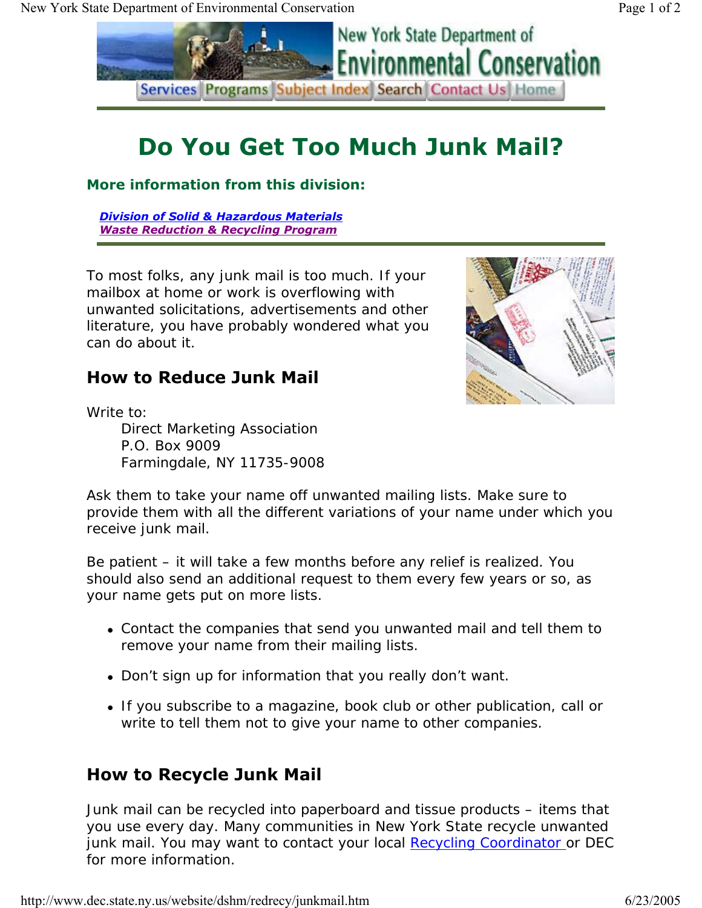

## **Do You Get Too Much Junk Mail?**

**More information from this division:** 

*Division of Solid & Hazardous Materials Waste Reduction & Recycling Program*

To most folks, any junk mail is too much. If your mailbox at home or work is overflowing with unwanted solicitations, advertisements and other literature, you have probably wondered what you can do about it.



## **How to Reduce Junk Mail**

Write to:

Direct Marketing Association P.O. Box 9009 Farmingdale, NY 11735-9008

Ask them to take your name off unwanted mailing lists. Make sure to provide them with all the different variations of your name under which you receive junk mail.

Be patient – it will take a few months before any relief is realized. You should also send an additional request to them every few years or so, as your name gets put on more lists.

- Contact the companies that send you unwanted mail and tell them to remove your name from their mailing lists.
- Don't sign up for information that you really don't want.
- If you subscribe to a magazine, book club or other publication, call or write to tell them not to give your name to other companies.

## **How to Recycle Junk Mail**

Junk mail can be recycled into paperboard and tissue products – items that you use every day. Many communities in New York State recycle unwanted junk mail. You may want to contact your local Recycling Coordinator or DEC for more information.